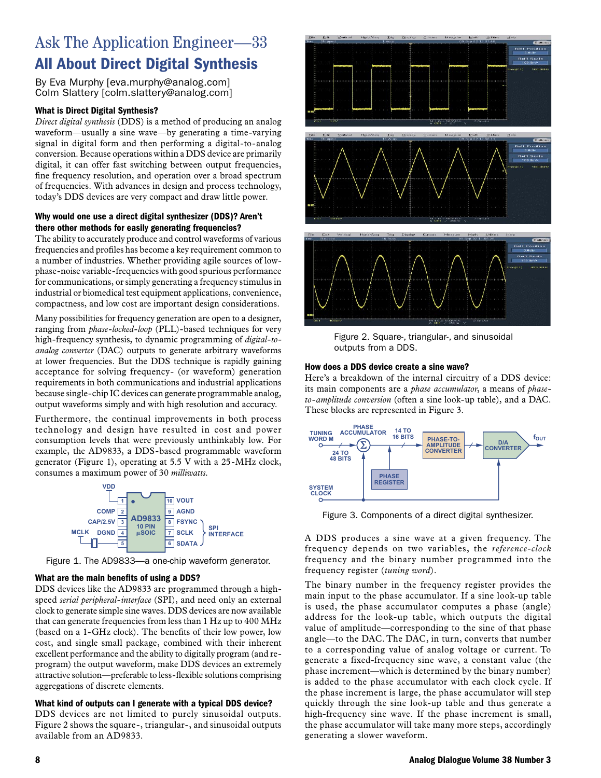# Ask The Application Engineer—33 All About Direct Digital Synthesis

By Eva Murphy [eva.murphy@analog.com] Colm Slattery [colm.slattery@analog.com]

## What is Direct Digital Synthesis?

*Direct digital synthesis* (DDS) is a method of producing an analog waveform—usually a sine wave—by generating a time-varying signal in digital form and then performing a digital-to-analog conversion. Because operations within a DDS device are primarily digital, it can offer fast switching between output frequencies, fine frequency resolution, and operation over a broad spectrum of frequencies. With advances in design and process technology, today's DDS devices are very compact and draw little power.

## Why would one use a direct digital synthesizer (DDS)? Aren't there other methods for easily generating frequencies?

The ability to accurately produce and control waveforms of various frequencies and profiles has become a key requirement common to a number of industries. Whether providing agile sources of lowphase-noise variable-frequencies with good spurious performance for communications, or simply generating a frequency stimulus in industrial or biomedical test equipment applications, convenience, compactness, and low cost are important design considerations.

Many possibilities for frequency generation are open to a designer, ranging from *phase-locked-loop* (PLL)-based techniques for very high-frequency synthesis, to dynamic programming of *digital-toanalog converter* (DAC) outputs to generate arbitrary waveforms at lower frequencies. But the DDS technique is rapidly gaining acceptance for solving frequency- (or waveform) generation requirements in both communications and industrial applications because single-chip IC devices can generate programmable analog, output waveforms simply and with high resolution and accuracy.

Furthermore, the continual improvements in both process technology and design have resulted in cost and power consumption levels that were previously unthinkably low. For example, the AD9833, a DDS-based programmable waveform generator (Figure 1), operating at 5.5 V with a 25-MHz clock, consumes a maximum power of 30 *milliwatts*.



Figure 1. The AD9833—a one-chip waveform generator.

## What are the main benefits of using a DDS?

DDS devices like the AD9833 are programmed through a highspeed *serial peripheral-interface* (SPI), and need only an external clock to generate simple sine waves. DDS devices are now available that can generate frequencies from less than 1 Hz up to 400 MHz (based on a 1-GHz clock). The benefits of their low power, low cost, and single small package, combined with their inherent excellent performance and the ability to digitally program (and reprogram) the output waveform, make DDS devices an extremely attractive solution—preferable to less-flexible solutions comprising aggregations of discrete elements.

## What kind of outputs can I generate with a typical DDS device?

DDS devices are not limited to purely sinusoidal outputs. Figure 2 shows the square-, triangular-, and sinusoidal outputs available from an AD9833.



Figure 2. Square-, triangular-, and sinusoidal outputs from a DDS.

## How does a DDS device create a sine wave?

Here's a breakdown of the internal circuitry of a DDS device: its main components are a *phase accumulator*, a means of *phaseto-amplitude conversion* (often a sine look-up table), and a DAC. These blocks are represented in Figure 3.



Figure 3. Components of a direct digital synthesizer.

A DDS produces a sine wave at a given frequency. The frequency depends on two variables, the *reference-clock*  frequency and the binary number programmed into the frequency register (*tuning word*).

The binary number in the frequency register provides the main input to the phase accumulator. If a sine look-up table is used, the phase accumulator computes a phase (angle) address for the look-up table, which outputs the digital value of amplitude—corresponding to the sine of that phase angle—to the DAC. The DAC, in turn, converts that number to a corresponding value of analog voltage or current. To generate a fixed-frequency sine wave, a constant value (the phase increment—which is determined by the binary number) is added to the phase accumulator with each clock cycle. If the phase increment is large, the phase accumulator will step quickly through the sine look-up table and thus generate a high-frequency sine wave. If the phase increment is small, the phase accumulator will take many more steps, accordingly generating a slower waveform.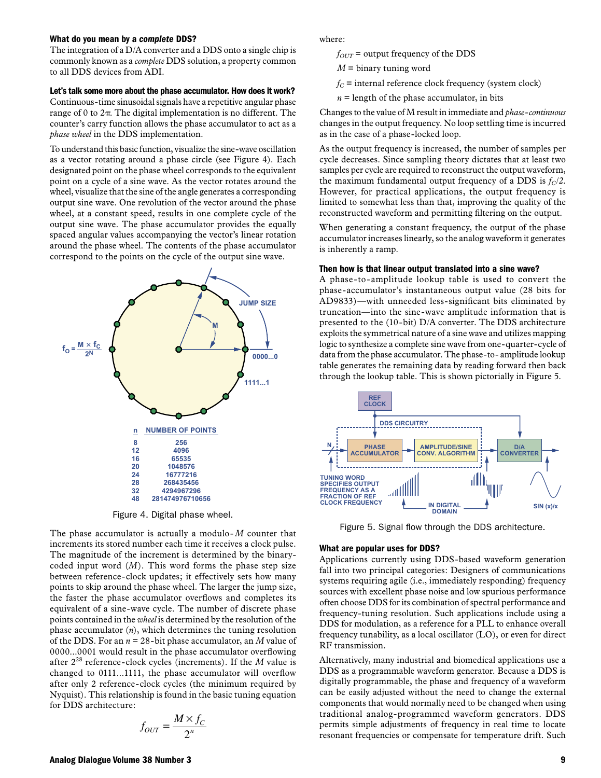### What do you mean by a *complete* DDS?

The integration of a D/A converter and a DDS onto a single chip is commonly known as a *complete* DDS solution, a property common to all DDS devices from ADI.

## Let's talk some more about the phase accumulator. How does it work?

Continuous-time sinusoidal signals have a repetitive angular phase range of 0 to  $2\pi$ . The digital implementation is no different. The counter's carry function allows the phase accumulator to act as a *phase wheel* in the DDS implementation.

To understand this basic function, visualize the sine-wave oscillation as a vector rotating around a phase circle (see Figure 4). Each designated point on the phase wheel corresponds to the equivalent point on a cycle of a sine wave. As the vector rotates around the wheel, visualize that the sine of the angle generates a corresponding output sine wave. One revolution of the vector around the phase wheel, at a constant speed, results in one complete cycle of the output sine wave. The phase accumulator provides the equally spaced angular values accompanying the vector's linear rotation around the phase wheel. The contents of the phase accumulator correspond to the points on the cycle of the output sine wave.



Figure 4. Digital phase wheel.

The phase accumulator is actually a modulo- *M* counter that increments its stored number each time it receives a clock pulse. The magnitude of the increment is determined by the binarycoded input word (*M*). This word forms the phase step size between reference-clock updates; it effectively sets how many points to skip around the phase wheel. The larger the jump size, the faster the phase accumulator overflows and completes its equivalent of a sine-wave cycle. The number of discrete phase points contained in the *wheel* is determined by the resolution of the phase accumulator (*n*), which determines the tuning resolution of the DDS. For an *n* = 28-bit phase accumulator, an *M* value of 0000...0001 would result in the phase accumulator overflowing after 228 reference-clock cycles (increments). If the *M* value is changed to 0111...1111, the phase accumulator will overflow after only 2 reference-clock cycles (the minimum required by Nyquist). This relationship is found in the basic tuning equation for DDS architecture:

$$
f_{OUT} = \frac{M \times f_C}{2^n}
$$

where:

 $f_{OUT}$  = output frequency of the DDS

- *M* = binary tuning word
- $f_C$  = internal reference clock frequency (system clock)
- $n =$  length of the phase accumulator, in bits

Changes to the value of M result in immediate and *phase-continuous*  changes in the output frequency. No loop settling time is incurred as in the case of a phase-locked loop.

As the output frequency is increased, the number of samples per cycle decreases. Since sampling theory dictates that at least two samples per cycle are required to reconstruct the output waveform, the maximum fundamental output frequency of a DDS is  $f_C/2$ . However, for practical applications, the output frequency is limited to somewhat less than that, improving the quality of the reconstructed waveform and permitting filtering on the output.

When generating a constant frequency, the output of the phase accumulator increases linearly, so the analog waveform it generates is inherently a ramp.

#### Then how is that linear output translated into a sine wave?

A phase-to-amplitude lookup table is used to convert the phase-accumulator's instantaneous output value (28 bits for AD9833)—with unneeded less-significant bits eliminated by truncation—into the sine-wave amplitude information that is presented to the (10-bit) D/A converter. The DDS architecture exploits the symmetrical nature of a sine wave and utilizes mapping logic to synthesize a complete sine wave from one-quarter-cycle of data from the phase accumulator. The phase-to- amplitude lookup table generates the remaining data by reading forward then back through the lookup table. This is shown pictorially in Figure 5.



Figure 5. Signal flow through the DDS architecture.

#### What are popular uses for DDS?

Applications currently using DDS-based waveform generation fall into two principal categories: Designers of communications systems requiring agile (i.e., immediately responding) frequency sources with excellent phase noise and low spurious performance often choose DDS for its combination of spectral performance and frequency-tuning resolution. Such applications include using a DDS for modulation, as a reference for a PLL to enhance overall frequency tunability, as a local oscillator (LO), or even for direct RF transmission.

Alternatively, many industrial and biomedical applications use a DDS as a programmable waveform generator. Because a DDS is digitally programmable, the phase and frequency of a waveform can be easily adjusted without the need to change the external components that would normally need to be changed when using traditional analog-programmed waveform generators. DDS permits simple adjustments of frequency in real time to locate resonant frequencies or compensate for temperature drift. Such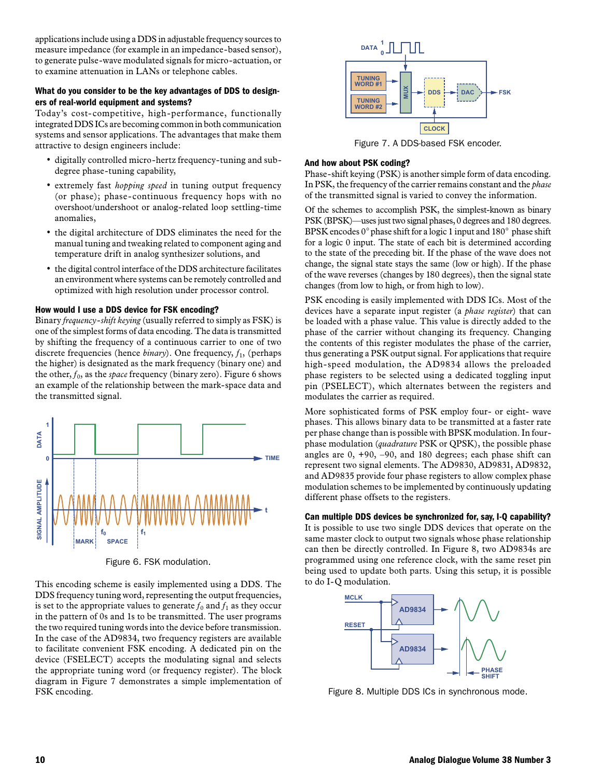applications include using a DDS in adjustable frequency sources to measure impedance (for example in an impedance-based sensor), to generate pulse-wave modulated signals for micro-actuation, or to examine attenuation in LANs or telephone cables.

## What do you consider to be the key advantages of DDS to designers of real-world equipment and systems?

Today's cost-competitive, high-performance, functionally integrated DDS ICs are becoming common in both communication systems and sensor applications. The advantages that make them attractive to design engineers include:

- digitally controlled micro-hertz frequency-tuning and subdegree phase-tuning capability,
- extremely fast *hopping speed* in tuning output frequency (or phase); phase-continuous frequency hops with no overshoot/undershoot or analog-related loop settling-time anomalies,
- the digital architecture of DDS eliminates the need for the manual tuning and tweaking related to component aging and temperature drift in analog synthesizer solutions, and
- the digital control interface of the DDS architecture facilitates an environment where systems can be remotely controlled and optimized with high resolution under processor control.

## How would I use a DDS device for FSK encoding?

Binary *frequency-shift keying* (usually referred to simply as FSK) is one of the simplest forms of data encoding. The data is transmitted by shifting the frequency of a continuous carrier to one of two discrete frequencies (hence *binary*). One frequency,  $f_1$ , (perhaps the higher) is designated as the mark frequency (binary one) and the other,  $f_0$ , as the *space* frequency (binary zero). Figure 6 shows an example of the relationship between the mark-space data and the transmitted signal.



Figure 6. FSK modulation.

This encoding scheme is easily implemented using a DDS. The DDS frequency tuning word, representing the output frequencies, is set to the appropriate values to generate  $f_0$  and  $f_1$  as they occur in the pattern of 0s and 1s to be transmitted. The user programs the two required tuning words into the device before transmission. In the case of the AD9834, two frequency registers are available to facilitate convenient FSK encoding. A dedicated pin on the device (FSELECT) accepts the modulating signal and selects the appropriate tuning word (or frequency register). The block diagram in Figure 7 demonstrates a simple implementation of FSK encoding.



Figure 7. A DDS-based FSK encoder.

## And how about PSK coding?

Phase-shift keying (PSK) is another simple form of data encoding. In PSK, the frequency of the carrier remains constant and the *phase* of the transmitted signal is varied to convey the information.

Of the schemes to accomplish PSK, the simplest-known as binary PSK (BPSK)—uses just two signal phases, 0 degrees and 180 degrees. BPSK encodes  $0^{\circ}$  phase shift for a logic 1 input and  $180^{\circ}$  phase shift for a logic 0 input. The state of each bit is determined according to the state of the preceding bit. If the phase of the wave does not change, the signal state stays the same (low or high). If the phase of the wave reverses (changes by 180 degrees), then the signal state changes (from low to high, or from high to low).

PSK encoding is easily implemented with DDS ICs. Most of the devices have a separate input register (a *phase register*) that can be loaded with a phase value. This value is directly added to the phase of the carrier without changing its frequency. Changing the contents of this register modulates the phase of the carrier, thus generating a PSK output signal. For applications that require high-speed modulation, the AD9834 allows the preloaded phase registers to be selected using a dedicated toggling input pin (PSELECT), which alternates between the registers and modulates the carrier as required.

More sophisticated forms of PSK employ four- or eight- wave phases. This allows binary data to be transmitted at a faster rate per phase change than is possible with BPSK modulation. In fourphase modulation (*quadrature* PSK or QPSK), the possible phase angles are 0, +90, –90, and 180 degrees; each phase shift can represent two signal elements. The AD9830, AD9831, AD9832, and AD9835 provide four phase registers to allow complex phase modulation schemes to be implemented by continuously updating different phase offsets to the registers.

Can multiple DDS devices be synchronized for, say, I-Q capability? It is possible to use two single DDS devices that operate on the same master clock to output two signals whose phase relationship can then be directly controlled. In Figure 8, two AD9834s are programmed using one reference clock, with the same reset pin being used to update both parts. Using this setup, it is possible to do I-Q modulation.



Figure 8. Multiple DDS ICs in synchronous mode.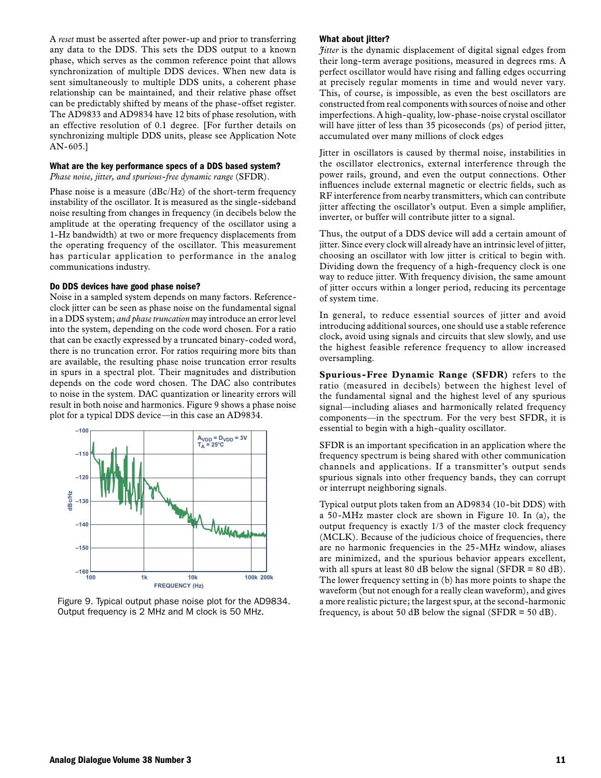A *reset* must be asserted after power-up and prior to transferring any data to the DDS. This sets the DDS output to a known phase, which serves as the common reference point that allows synchronization of multiple DDS devices. When new data is sent simultaneously to multiple DDS units, a coherent phase relationship can be maintained, and their relative phase offset can be predictably shifted by means of the phase-offset register. The AD9833 and AD9834 have 12 bits of phase resolution, with an effective resolution of 0.1 degree. [For further details on synchronizing multiple DDS units, please see Application Note AN-605.]

#### What are the key performance specs of a DDS based system?

*Phase noise, jitter, and spurious-free dynamic range* (SFDR).

Phase noise is a measure (dBc/Hz) of the short-term frequency instability of the oscillator. It is measured as the single-sideband noise resulting from changes in frequency (in decibels below the amplitude at the operating frequency of the oscillator using a 1-Hz bandwidth) at two or more frequency displacements from the operating frequency of the oscillator. This measurement has particular application to performance in the analog communications industry.

## Do DDS devices have good phase noise?

Noise in a sampled system depends on many factors. Referenceclock jitter can be seen as phase noise on the fundamental signal in a DDS system; *and phase truncation* may introduce an error level into the system, depending on the code word chosen. For a ratio that can be exactly expressed by a truncated binary-coded word, there is no truncation error. For ratios requiring more bits than are available, the resulting phase noise truncation error results in spurs in a spectral plot. Their magnitudes and distribution depends on the code word chosen. The DAC also contributes to noise in the system. DAC quantization or linearity errors will result in both noise and harmonics. Figure 9 shows a phase noise plot for a typical DDS device—in this case an AD9834.



Figure 9. Typical output phase noise plot for the AD9834. Output frequency is 2 MHz and M clock is 50 MHz.

## What about jitter?

*Jitter* is the dynamic displacement of digital signal edges from their long-term average positions, measured in degrees rms. A perfect oscillator would have rising and falling edges occurring at precisely regular moments in time and would never vary. This, of course, is impossible, as even the best oscillators are constructed from real components with sources of noise and other imperfections. A high-quality, low-phase-noise crystal oscillator will have jitter of less than 35 picoseconds (ps) of period jitter, accumulated over many millions of clock edges

Jitter in oscillators is caused by thermal noise, instabilities in the oscillator electronics, external interference through the power rails, ground, and even the output connections. Other influences include external magnetic or electric fields, such as RF interference from nearby transmitters, which can contribute jitter affecting the oscillator's output. Even a simple amplifier, inverter, or buffer will contribute jitter to a signal.

Thus, the output of a DDS device will add a certain amount of jitter. Since every clock will already have an intrinsic level of jitter, choosing an oscillator with low jitter is critical to begin with. Dividing down the frequency of a high-frequency clock is one way to reduce jitter. With frequency division, the same amount of jitter occurs within a longer period, reducing its percentage of system time.

In general, to reduce essential sources of jitter and avoid introducing additional sources, one should use a stable reference clock, avoid using signals and circuits that slew slowly, and use the highest feasible reference frequency to allow increased oversampling.

**Spurious-Free Dynamic Range (SFDR)** refers to the ratio (measured in decibels) between the highest level of the fundamental signal and the highest level of any spurious signal—including aliases and harmonically related frequency components—in the spectrum. For the very best SFDR, it is essential to begin with a high-quality oscillator.

SFDR is an important specification in an application where the frequency spectrum is being shared with other communication channels and applications. If a transmitter's output sends spurious signals into other frequency bands, they can corrupt or interrupt neighboring signals.

Typical output plots taken from an AD9834 (10-bit DDS) with a 50-MHz master clock are shown in Figure 10. In (a), the output frequency is exactly 1/3 of the master clock frequency (MCLK). Because of the judicious choice of frequencies, there are no harmonic frequencies in the 25-MHz window, aliases are minimized, and the spurious behavior appears excellent, with all spurs at least 80 dB below the signal ( $SFR = 80$  dB). The lower frequency setting in (b) has more points to shape the waveform (but not enough for a really clean waveform), and gives a more realistic picture; the largest spur, at the second-harmonic frequency, is about 50 dB below the signal (SFDR  $=$  50 dB).